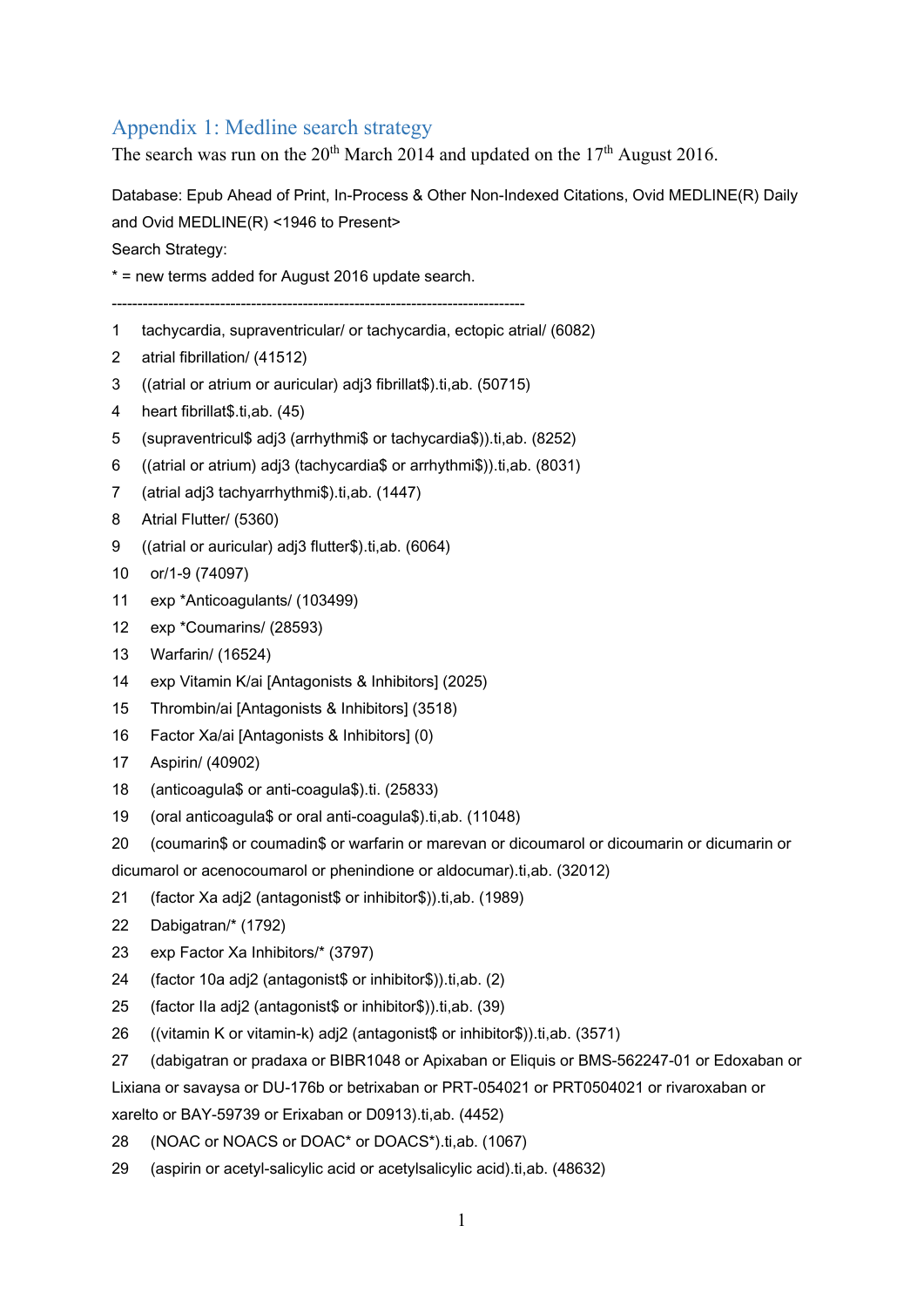## Appendix 1: Medline search strategy

The search was run on the  $20^{th}$  March 2014 and updated on the  $17^{th}$  August 2016.

Database: Epub Ahead of Print, In-Process & Other Non-Indexed Citations, Ovid MEDLINE(R) Daily and Ovid MEDLINE(R) <1946 to Present>

Search Strategy:

\* = new terms added for August 2016 update search.

--------------------------------------------------------------------------------

- 1 tachycardia, supraventricular/ or tachycardia, ectopic atrial/ (6082)
- 2 atrial fibrillation/ (41512)
- 3 ((atrial or atrium or auricular) adj3 fibrillat\$).ti,ab. (50715)
- 4 heart fibrillat\$.ti,ab. (45)
- 5 (supraventricul\$ adj3 (arrhythmi\$ or tachycardia\$)).ti,ab. (8252)
- 6 ((atrial or atrium) adj3 (tachycardia\$ or arrhythmi\$)).ti,ab. (8031)
- 7 (atrial adj3 tachyarrhythmi\$).ti,ab. (1447)
- 8 Atrial Flutter/ (5360)
- 9 ((atrial or auricular) adj3 flutter\$).ti,ab. (6064)
- 10 or/1-9 (74097)
- 11 exp \*Anticoagulants/ (103499)
- 12 exp \*Coumarins/ (28593)
- 13 Warfarin/ (16524)
- 14 exp Vitamin K/ai [Antagonists & Inhibitors] (2025)
- 15 Thrombin/ai [Antagonists & Inhibitors] (3518)
- 16 Factor Xa/ai [Antagonists & Inhibitors] (0)
- 17 Aspirin/ (40902)
- 18 (anticoagula\$ or anti-coagula\$).ti. (25833)
- 19 (oral anticoagula\$ or oral anti-coagula\$).ti,ab. (11048)
- 20 (coumarin\$ or coumadin\$ or warfarin or marevan or dicoumarol or dicoumarin or dicumarin or

dicumarol or acenocoumarol or phenindione or aldocumar).ti,ab. (32012)

- 21 (factor Xa adj2 (antagonist\$ or inhibitor\$)).ti,ab. (1989)
- 22 Dabigatran/\* (1792)
- 23 exp Factor Xa Inhibitors/\* (3797)
- 24 (factor 10a adj2 (antagonist\$ or inhibitor\$)).ti,ab. (2)
- 25 (factor IIa adj2 (antagonist\$ or inhibitor\$)).ti,ab. (39)
- 26 ((vitamin K or vitamin-k) adj2 (antagonist\$ or inhibitor\$)).ti,ab. (3571)
- 27 (dabigatran or pradaxa or BIBR1048 or Apixaban or Eliquis or BMS-562247-01 or Edoxaban or Lixiana or savaysa or DU-176b or betrixaban or PRT-054021 or PRT0504021 or rivaroxaban or

xarelto or BAY-59739 or Erixaban or D0913).ti,ab. (4452)

- 28 (NOAC or NOACS or DOAC\* or DOACS\*).ti,ab. (1067)
- 29 (aspirin or acetyl-salicylic acid or acetylsalicylic acid).ti,ab. (48632)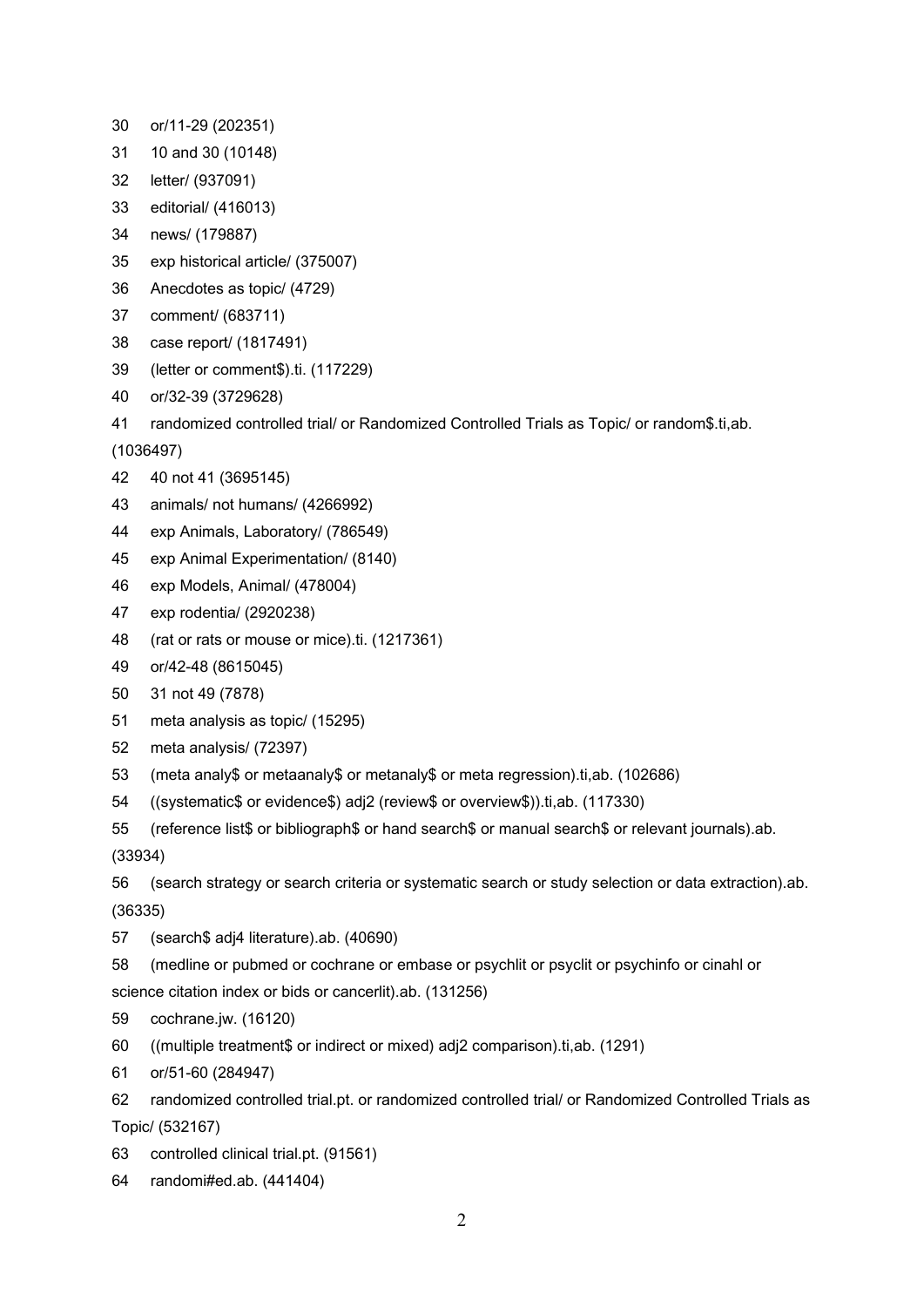- 30 or/11-29 (202351)
- 31 10 and 30 (10148)
- 32 letter/ (937091)
- 33 editorial/ (416013)
- 34 news/ (179887)
- 35 exp historical article/ (375007)
- 36 Anecdotes as topic/ (4729)
- 37 comment/ (683711)
- 38 case report/ (1817491)
- 39 (letter or comment\$).ti. (117229)
- 40 or/32-39 (3729628)
- 41 randomized controlled trial/ or Randomized Controlled Trials as Topic/ or random\$.ti,ab.
- (1036497)
- 42 40 not 41 (3695145)
- 43 animals/ not humans/ (4266992)
- 44 exp Animals, Laboratory/ (786549)
- 45 exp Animal Experimentation/ (8140)
- 46 exp Models, Animal/ (478004)
- 47 exp rodentia/ (2920238)
- 48 (rat or rats or mouse or mice).ti. (1217361)
- 49 or/42-48 (8615045)
- 50 31 not 49 (7878)
- 51 meta analysis as topic/ (15295)
- 52 meta analysis/ (72397)
- 53 (meta analy\$ or metaanaly\$ or metanaly\$ or meta regression).ti,ab. (102686)
- 54 ((systematic\$ or evidence\$) adj2 (review\$ or overview\$)).ti,ab. (117330)
- 55 (reference list\$ or bibliograph\$ or hand search\$ or manual search\$ or relevant journals).ab.

(33934)

56 (search strategy or search criteria or systematic search or study selection or data extraction).ab. (36335)

57 (search\$ adj4 literature).ab. (40690)

58 (medline or pubmed or cochrane or embase or psychlit or psyclit or psychinfo or cinahl or science citation index or bids or cancerlit).ab. (131256)

- 59 cochrane.jw. (16120)
- 60 ((multiple treatment\$ or indirect or mixed) adj2 comparison).ti,ab. (1291)
- 61 or/51-60 (284947)

62 randomized controlled trial.pt. or randomized controlled trial/ or Randomized Controlled Trials as Topic/ (532167)

- 63 controlled clinical trial.pt. (91561)
- 64 randomi#ed.ab. (441404)